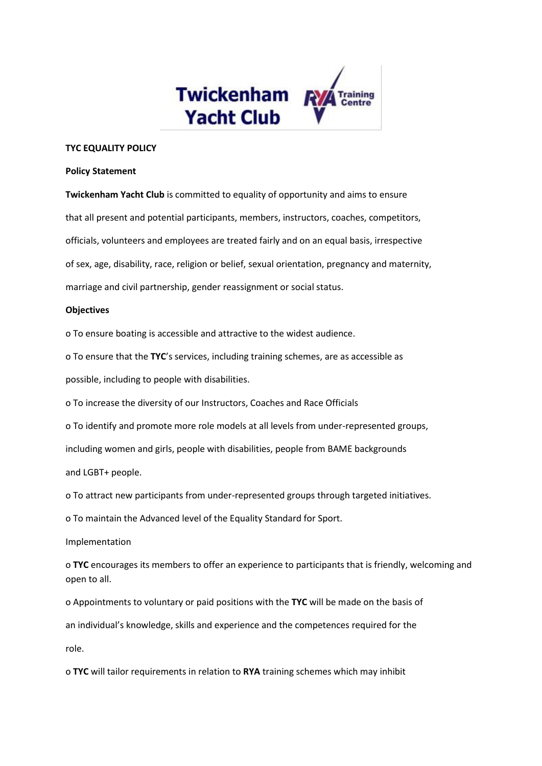

## **TYC EQUALITY POLICY**

## **Policy Statement**

**Twickenham Yacht Club** is committed to equality of opportunity and aims to ensure that all present and potential participants, members, instructors, coaches, competitors, officials, volunteers and employees are treated fairly and on an equal basis, irrespective of sex, age, disability, race, religion or belief, sexual orientation, pregnancy and maternity, marriage and civil partnership, gender reassignment or social status.

## **Objectives**

o To ensure boating is accessible and attractive to the widest audience.

o To ensure that the **TYC**'s services, including training schemes, are as accessible as

possible, including to people with disabilities.

o To increase the diversity of our Instructors, Coaches and Race Officials

o To identify and promote more role models at all levels from under-represented groups,

including women and girls, people with disabilities, people from BAME backgrounds

and LGBT+ people.

o To attract new participants from under-represented groups through targeted initiatives.

o To maintain the Advanced level of the Equality Standard for Sport.

Implementation

o **TYC** encourages its members to offer an experience to participants that is friendly, welcoming and open to all.

o Appointments to voluntary or paid positions with the **TYC** will be made on the basis of

an individual's knowledge, skills and experience and the competences required for the

role.

o **TYC** will tailor requirements in relation to **RYA** training schemes which may inhibit